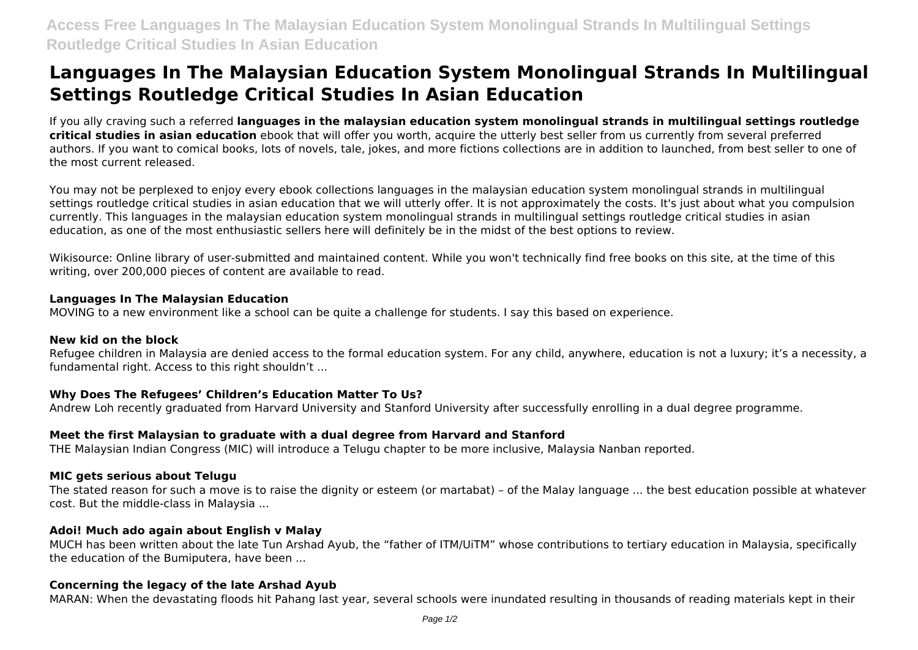# **Languages In The Malaysian Education System Monolingual Strands In Multilingual Settings Routledge Critical Studies In Asian Education**

If you ally craving such a referred **languages in the malaysian education system monolingual strands in multilingual settings routledge critical studies in asian education** ebook that will offer you worth, acquire the utterly best seller from us currently from several preferred authors. If you want to comical books, lots of novels, tale, jokes, and more fictions collections are in addition to launched, from best seller to one of the most current released.

You may not be perplexed to enjoy every ebook collections languages in the malaysian education system monolingual strands in multilingual settings routledge critical studies in asian education that we will utterly offer. It is not approximately the costs. It's just about what you compulsion currently. This languages in the malaysian education system monolingual strands in multilingual settings routledge critical studies in asian education, as one of the most enthusiastic sellers here will definitely be in the midst of the best options to review.

Wikisource: Online library of user-submitted and maintained content. While you won't technically find free books on this site, at the time of this writing, over 200,000 pieces of content are available to read.

### **Languages In The Malaysian Education**

MOVING to a new environment like a school can be quite a challenge for students. I say this based on experience.

### **New kid on the block**

Refugee children in Malaysia are denied access to the formal education system. For any child, anywhere, education is not a luxury; it's a necessity, a fundamental right. Access to this right shouldn't ...

# **Why Does The Refugees' Children's Education Matter To Us?**

Andrew Loh recently graduated from Harvard University and Stanford University after successfully enrolling in a dual degree programme.

# **Meet the first Malaysian to graduate with a dual degree from Harvard and Stanford**

THE Malaysian Indian Congress (MIC) will introduce a Telugu chapter to be more inclusive, Malaysia Nanban reported.

# **MIC gets serious about Telugu**

The stated reason for such a move is to raise the dignity or esteem (or martabat) – of the Malay language ... the best education possible at whatever cost. But the middle-class in Malaysia ...

# **Adoi! Much ado again about English v Malay**

MUCH has been written about the late Tun Arshad Ayub, the "father of ITM/UiTM" whose contributions to tertiary education in Malaysia, specifically the education of the Bumiputera, have been ...

# **Concerning the legacy of the late Arshad Ayub**

MARAN: When the devastating floods hit Pahang last year, several schools were inundated resulting in thousands of reading materials kept in their